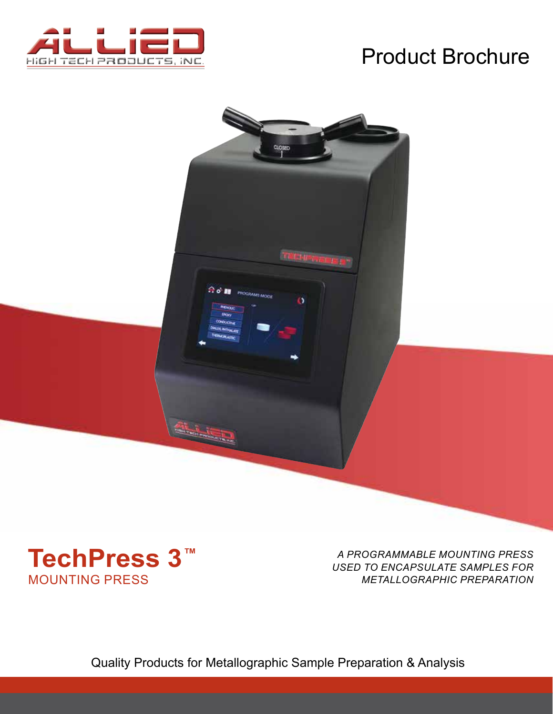

# Product Brochure





*A PROGRAMMABLE MOUNTING PRESS USED TO ENCAPSULATE SAMPLES FOR METALLOGRAPHIC PREPARATION*

Quality Products for Metallographic Sample Preparation & Analysis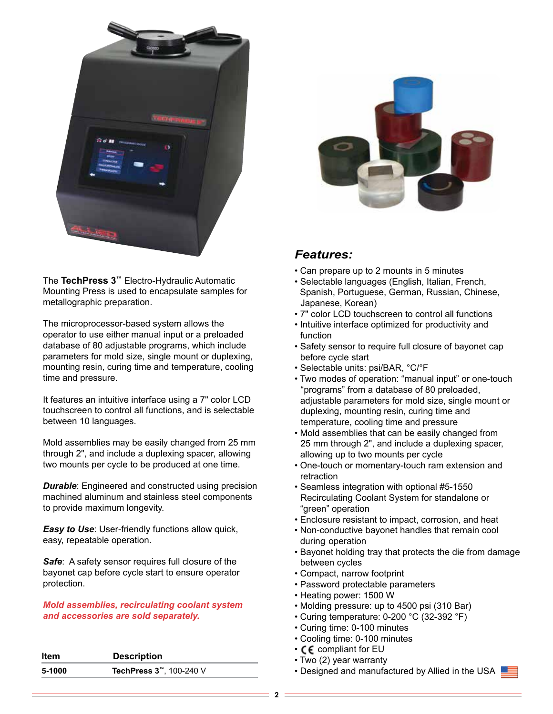

The **TechPress 3™** Electro-Hydraulic Automatic Mounting Press is used to encapsulate samples for metallographic preparation.

The microprocessor-based system allows the operator to use either manual input or a preloaded database of 80 adjustable programs, which include parameters for mold size, single mount or duplexing, mounting resin, curing time and temperature, cooling time and pressure.

It features an intuitive interface using a 7" color LCD touchscreen to control all functions, and is selectable between 10 languages.

Mold assemblies may be easily changed from 25 mm through 2", and include a duplexing spacer, allowing two mounts per cycle to be produced at one time.

**Durable:** Engineered and constructed using precision machined aluminum and stainless steel components to provide maximum longevity.

*Easy to Use*: User-friendly functions allow quick, easy, repeatable operation.

**Safe:** A safety sensor requires full closure of the bayonet cap before cycle start to ensure operator protection.

*Mold assemblies, recirculating coolant system and accessories are sold separately.*

| Item   | <b>Description</b>                   |
|--------|--------------------------------------|
| 5-1000 | TechPress 3 <sup>™</sup> , 100-240 V |



#### *Features:*

- Can prepare up to 2 mounts in 5 minutes
- Selectable languages (English, Italian, French, Spanish, Portuguese, German, Russian, Chinese, Japanese, Korean)
- 7" color LCD touchscreen to control all functions
- Intuitive interface optimized for productivity and function
- Safety sensor to require full closure of bayonet cap before cycle start
- Selectable units: psi/BAR, °C/°F
- Two modes of operation: "manual input" or one-touch "programs" from a database of 80 preloaded, adjustable parameters for mold size, single mount or duplexing, mounting resin, curing time and temperature, cooling time and pressure
- Mold assemblies that can be easily changed from 25 mm through 2", and include a duplexing spacer, allowing up to two mounts per cycle
- One-touch or momentary-touch ram extension and retraction
- Seamless integration with optional #5-1550 Recirculating Coolant System for standalone or "green" operation
- Enclosure resistant to impact, corrosion, and heat
- Non-conductive bayonet handles that remain cool during operation
- Bayonet holding tray that protects the die from damage between cycles
- Compact, narrow footprint
- Password protectable parameters
- Heating power: 1500 W
- Molding pressure: up to 4500 psi (310 Bar)
- Curing temperature: 0-200 °C (32-392 °F)
- Curing time: 0-100 minutes
- Cooling time: 0-100 minutes
- CE compliant for EU
- Two (2) year warranty
- Designed and manufactured by Allied in the USA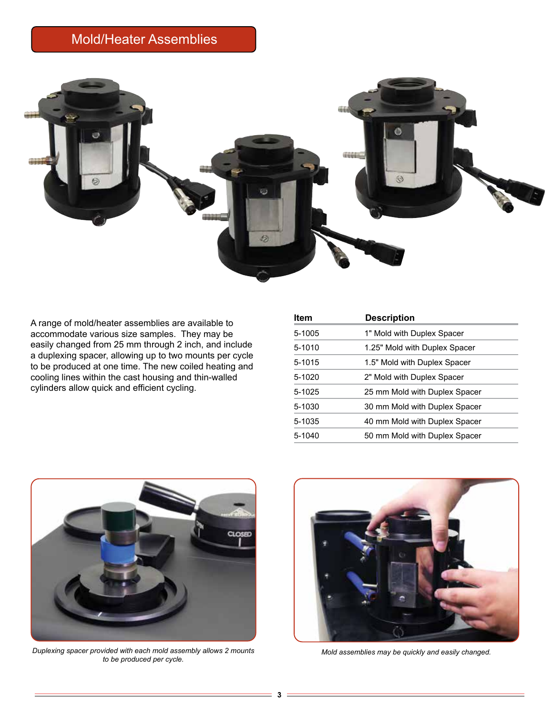## Mold/Heater Assemblies



A range of mold/heater assemblies are available to accommodate various size samples. They may be easily changed from 25 mm through 2 inch, and include a duplexing spacer, allowing up to two mounts per cycle to be produced at one time. The new coiled heating and cooling lines within the cast housing and thin-walled cylinders allow quick and efficient cycling.

| <b>Item</b> | <b>Description</b>            |
|-------------|-------------------------------|
| 5-1005      | 1" Mold with Duplex Spacer    |
| 5-1010      | 1.25" Mold with Duplex Spacer |
| 5-1015      | 1.5" Mold with Duplex Spacer  |
| 5-1020      | 2" Mold with Duplex Spacer    |
| 5-1025      | 25 mm Mold with Duplex Spacer |
| 5-1030      | 30 mm Mold with Duplex Spacer |
| 5-1035      | 40 mm Mold with Duplex Spacer |
| 5-1040      | 50 mm Mold with Duplex Spacer |



*Duplexing spacer provided with each mold assembly allows 2 mounts to be produced per cycle.*



*Mold assemblies may be quickly and easily changed.*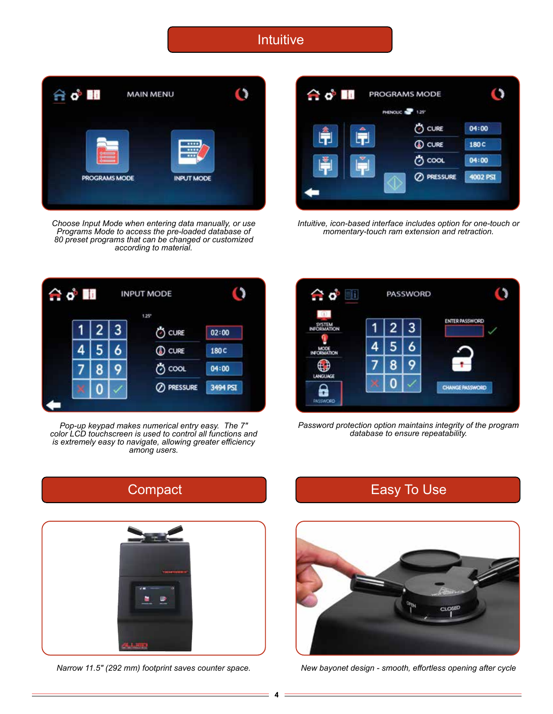Intuitive



*Choose Input Mode when entering data manually, or use Programs Mode to access the pre-loaded database of 80 preset programs that can be changed or customized according to material.*



*Intuitive, icon-based interface includes option for one-touch or momentary-touch ram extension and retraction.*



*Pop-up keypad makes numerical entry easy. The 7" color LCD touchscreen is used to control all functions and is extremely easy to navigate, allowing greater efficiency among users.* 



*Password protection option maintains integrity of the program database to ensure repeatability.*







*Narrow 11.5" (292 mm) footprint saves counter space. New bayonet design - smooth, effortless opening after cycle*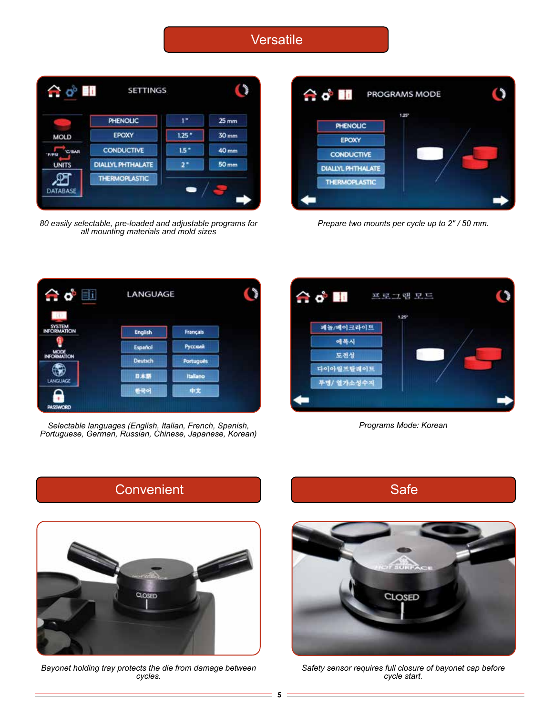#### **Versatile**



*80 easily selectable, pre-loaded and adjustable programs for all mounting materials and mold sizes*



*Prepare two mounts per cycle up to 2" / 50 mm.*



Selectable languages (English, Italian, French, Spanish, **Programs Mode: Korean** Programs Mode: Korean *Portuguese, German, Russian, Chinese, Japanese, Korean)*





*Bayonet holding tray protects the die from damage between cycles.*



*Safety sensor requires full closure of bayonet cap before cycle start.*

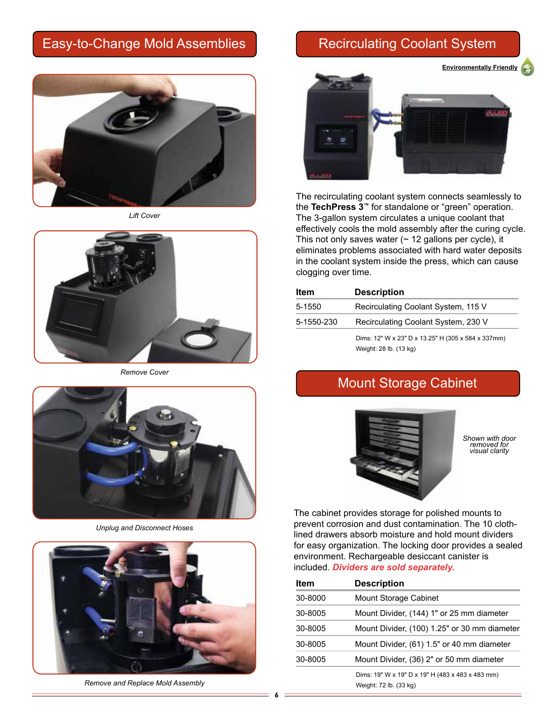### Easy-to-Change Mold Assemblies **Recirculating Coolant System**



*Lift Cover*



*Remove Cover*



*Unplug and Disconnect Hoses*



*Remove and Replace Mold Assembly*

**Environmentally Friendly** 



The recirculating coolant system connects seamlessly to the **TechPress 3™** for standalone or "green" operation. The 3-gallon system circulates a unique coolant that effectively cools the mold assembly after the curing cycle. This not only saves water  $($   $\sim$  12 gallons per cycle), it eliminates problems associated with hard water deposits in the coolant system inside the press, which can cause clogging over time.

| Item       | <b>Description</b>                                                           |
|------------|------------------------------------------------------------------------------|
| 5-1550     | Recirculating Coolant System, 115 V                                          |
| 5-1550-230 | Recirculating Coolant System, 230 V                                          |
|            | Dims: 12" W x 23" D x 13.25" H (305 x 584 x 337mm)<br>Weight: 28 lb. (13 kg) |

### Mount Storage Cabinet



*Shown with door removed for visual clarity*

The cabinet provides storage for polished mounts to prevent corrosion and dust contamination. The 10 clothlined drawers absorb moisture and hold mount dividers for easy organization. The locking door provides a sealed environment. Rechargeable desiccant canister is included. *Dividers are sold separately.*

| <b>Item</b> | <b>Description</b>                                                         |
|-------------|----------------------------------------------------------------------------|
| 30-8000     | Mount Storage Cabinet                                                      |
| 30-8005     | Mount Divider, (144) 1" or 25 mm diameter                                  |
| 30-8005     | Mount Divider, (100) 1.25" or 30 mm diameter                               |
| 30-8005     | Mount Divider, (61) 1.5" or 40 mm diameter                                 |
| 30-8005     | Mount Divider, (36) 2" or 50 mm diameter                                   |
|             | Dims: 19" W x 19" D x 19" H (483 x 483 x 483 mm)<br>Weight: 72 lb. (33 kg) |

**6**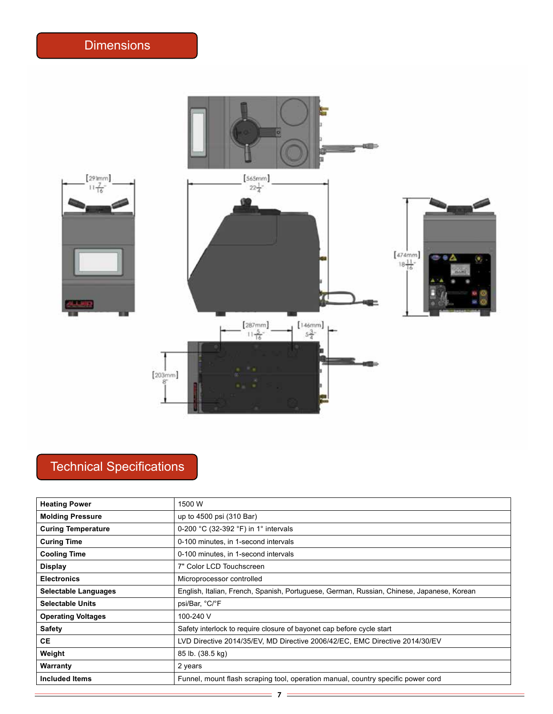

## Technical Specifications

| <b>Heating Power</b>      | 1500 W                                                                                    |
|---------------------------|-------------------------------------------------------------------------------------------|
| <b>Molding Pressure</b>   | up to 4500 psi (310 Bar)                                                                  |
| <b>Curing Temperature</b> | 0-200 °C (32-392 °F) in 1° intervals                                                      |
| <b>Curing Time</b>        | 0-100 minutes, in 1-second intervals                                                      |
| <b>Cooling Time</b>       | 0-100 minutes, in 1-second intervals                                                      |
| <b>Display</b>            | 7" Color LCD Touchscreen                                                                  |
| <b>Electronics</b>        | Microprocessor controlled                                                                 |
| Selectable Languages      | English, Italian, French, Spanish, Portuguese, German, Russian, Chinese, Japanese, Korean |
| <b>Selectable Units</b>   | psi/Bar, °C/°F                                                                            |
| <b>Operating Voltages</b> | 100-240 V                                                                                 |
| <b>Safety</b>             | Safety interlock to require closure of bayonet cap before cycle start                     |
| <b>CE</b>                 | LVD Directive 2014/35/EV, MD Directive 2006/42/EC, EMC Directive 2014/30/EV               |
| Weight                    | 85 lb. (38.5 kg)                                                                          |
| Warranty                  | 2 years                                                                                   |
| <b>Included Items</b>     | Funnel, mount flash scraping tool, operation manual, country specific power cord          |